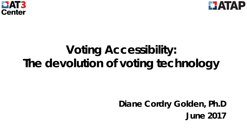



# **Voting Accessibility: The devolution of voting technology**

**Diane Cordry Golden, Ph.D June 2017**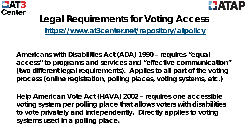



### **Legal Requirements for Voting Access <https://www.at3center.net/repository/atpolicy>**

**Americans with Disabilities Act (ADA) 1990 – requires "equal access" to programs and services and "effective communication" (two different legal requirements). Applies to all part of the voting process (online registration, polling places, voting systems, etc.)** 

**Help American Vote Act (HAVA) 2002 – requires one accessible voting system per polling place that allows voters with disabilities to vote privately and independently. Directly applies to voting systems used in a polling place.**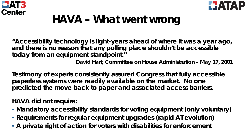



# **HAVA – What went wrong**

**"Accessibility technology is light-years ahead of where it was a year ago, and there is no reason that any polling place shouldn't be accessible today from an equipment standpoint."** 

*David Hart, Committee on House Administration – May 17, 2001*

**Testimony of experts consistently assured Congress that fully accessible paperless systems were readily available on the market. No one predicted the move back to paper and associated access barriers.** 

**HAVA did not require:** 

- **Mandatory accessibility standards for voting equipment (only voluntary)**
- **Requirements for regular equipment upgrades (rapid AT evolution)**
- **A private right of action for voters with disabilities for enforcement**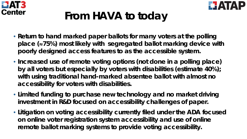



# **From HAVA to today**

- **Return to hand marked paper ballots for many voters at the polling place (**≈**75%) most likely with segregated ballot marking device with poorly designed access features to as the accessible system.**
- **Increased use of remote voting options (not done in a polling place) by all voters but especially by voters with disabilities (estimate 40%); with using traditional hand-marked absentee ballot with almost no accessibility for voters with disabilities.**
- **Limited funding to purchase new technology and no market driving investment in R&D focused on accessibility challenges of paper.**
- **Litigation on voting accessibility currently filed under the ADA focused on online voter registration system accessibility and use of online remote ballot marking systems to provide voting accessibility.**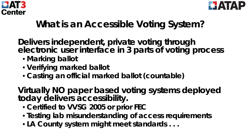



### **What is an Accessible Voting System?**

**Delivers independent, private voting through electronic user interface in 3 parts of voting process**

- **Marking ballot**
- **Verifying marked ballot**
- **Casting an official marked ballot (countable)**

**Virtually NO paper based voting systems deployed today delivers accessibility.** 

- **Certified to VVSG 2005 or prior FEC**
- **Testing lab misunderstanding of access requirements**
- **LA County system might meet standards . . .**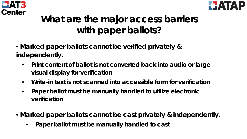



## **What are the major access barriers with paper ballots?**

- **Marked paper ballots cannot be verified privately & independently.** 
	- **Print content of ballot is not converted back into audio or large visual display for verification**
	- **Write-in text is not scanned into accessible form for verification**
	- **Paper ballot must be manually handled to utilize electronic verification**
- **Marked paper ballots cannot be cast privately & independently.** 
	- **Paper ballot must be manually handled to cast**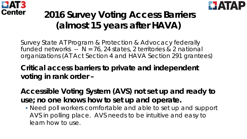



## **2016 Survey Voting Access Barriers (almost 15 years after HAVA)**

Survey State AT Program & Protection & Advocacy federally funded networks --  $N = 76$ , 24 states, 2 territories & 2 national organizations (AT Act Section 4 and HAVA Section 291 grantees)

### **Critical access barriers to private and independent voting in rank order –**

**Accessible Voting System (AVS) not set up and ready to use; no one knows how to set up and operate.**

• Need poll workers comfortable and able to set up and support AVS in polling place. AVS needs to be intuitive and easy to learn how to use.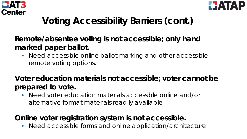



## **Voting Accessibility Barriers (cont.)**

### **Remote/absentee voting is not accessible; only hand marked paper ballot.**

• Need accessible online ballot marking and other accessible remote voting options.

### **Voter education materials not accessible; voter cannot be prepared to vote.**

• Need voter education materials accessible online and/or alternative format materials readily available

### **Online voter registration system is not accessible.**

• Need accessible forms and online application/architecture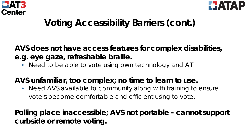



### **Voting Accessibility Barriers (cont.)**

**AVS does not have access features for complex disabilities, e.g. eye gaze, refreshable braille.** 

• Need to be able to vote using own technology and AT

### **AVS unfamiliar, too complex; no time to learn to use.**

• Need AVS available to community along with training to ensure voters become comfortable and efficient using to vote.

**Polling place inaccessible; AVS not portable - cannot support curbside or remote voting.**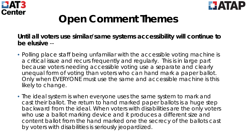



# **Open Comment Themes**

#### **Until all voters use similar/same systems accessibility will continue to be elusive** --

- *Polling place staff being unfamiliar with the accessible voting machine is a critical issue and recurs frequently and regularly. This is in large part because voters needing accessible voting use a separate and clearly unequal form of voting than voters who can hand mark a paper ballot. Only when EVERYONE must use the same and accessible machine is this likely to change.*
- *The ideal system is when everyone uses the same system to mark and cast their ballot. The return to hand marked paper ballots is a huge step backward from the ideal. When voters with disabilities are the only voters who use a ballot marking device and it produces a different size and content ballot from the hand marked one the secrecy of the ballots cast by voters with disabilities is seriously jeopardized.*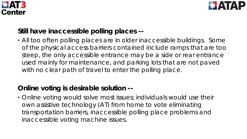



#### **Still have inaccessible polling places --**

• *All too often polling places are in older inaccessible buildings. Some of the physical access barriers contained include ramps that are too steep, the only accessible entrance may be a side or rear entrance used mainly for maintenance, and parking lots that are not paved*  with no clear path of travel to enter the polling place.

#### **Online voting is desirable solution --**

• Online voting would solve most issues; individuals would use their *own assistive technology (AT) from home to vote eliminating transportation barriers, inaccessible polling place problems and inaccessible voting machine issues.*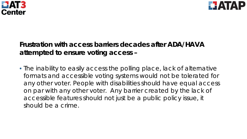



#### **Frustration with access barriers decades after ADA/HAVA attempted to ensure voting access –**

• *The inability to easily access the polling place, lack of alternative formats and accessible voting systems would not be tolerated for any other voter. People with disabilities should have equal access on par with any other voter. Any barrier created by the lack of accessible features should not just be a public policy issue, it should be a crime.*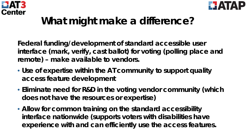



## **What might make a difference?**

**Federal funding/development of standard accessible user interface (mark, verify, cast ballot) for voting (polling place and remote) – make available to vendors.** 

- **Use of expertise within the AT community to support quality access feature development**
- **Eliminate need for R&D in the voting vendor community (which does not have the resources or expertise)**
- **Allow for common training on the standard accessibility interface nationwide (supports voters with disabilities have experience with and can efficiently use the access features.**